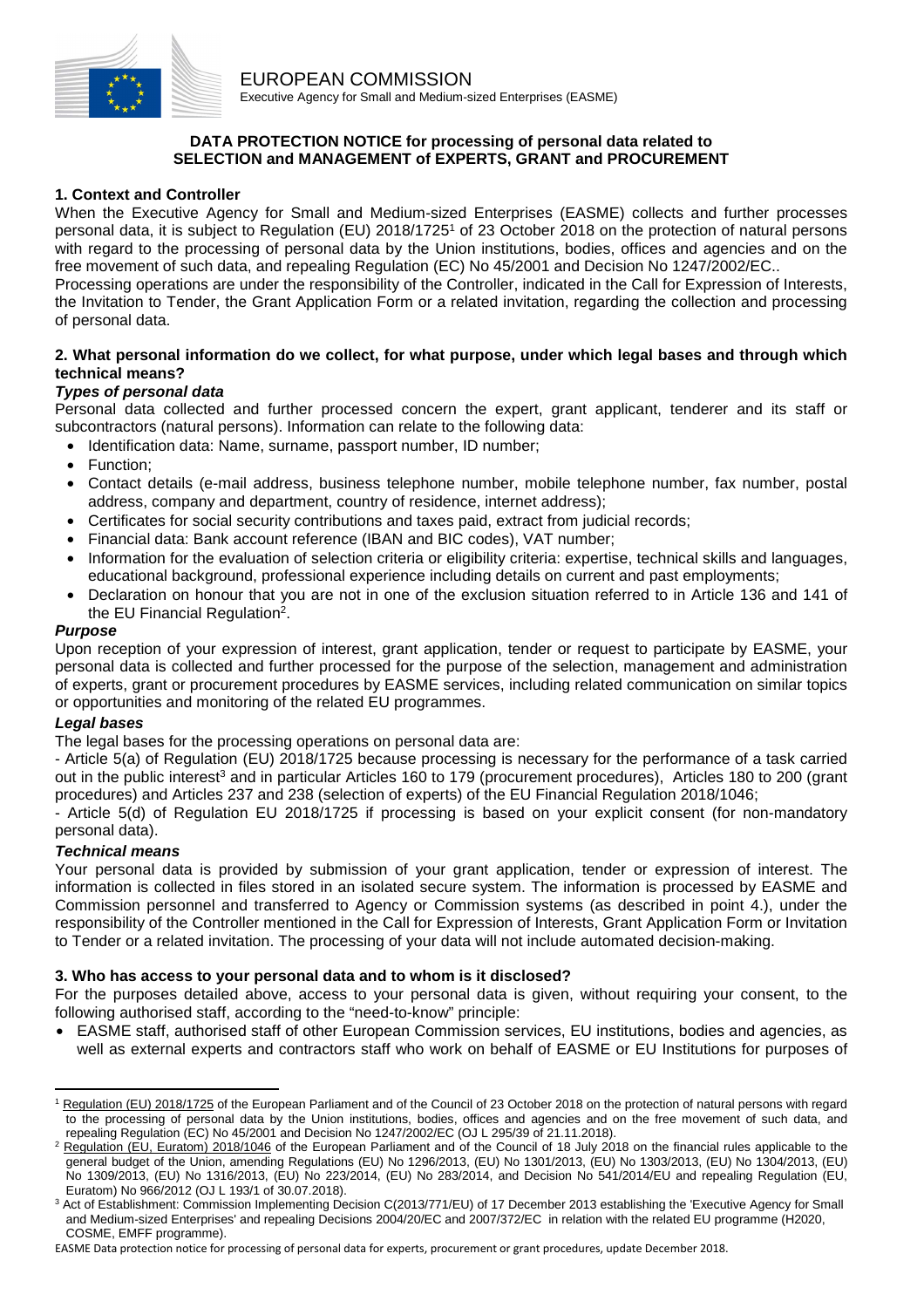

## **DATA PROTECTION NOTICE for processing of personal data related to SELECTION and MANAGEMENT of EXPERTS, GRANT and PROCUREMENT**

## **1. Context and Controller**

When the Executive Agency for Small and Medium-sized Enterprises (EASME) collects and further processes personal data, it is subject to Regulation (EU) 2018/17251 of 23 October 2018 on the protection of natural persons with regard to the processing of personal data by the Union institutions, bodies, offices and agencies and on the free movement of such data, and repealing Regulation (EC) No 45/2001 and Decision No 1247/2002/EC..

Processing operations are under the responsibility of the Controller, indicated in the Call for Expression of Interests, the Invitation to Tender, the Grant Application Form or a related invitation, regarding the collection and processing of personal data.

### **2. What personal information do we collect, for what purpose, under which legal bases and through which technical means?**

# *Types of personal data*

Personal data collected and further processed concern the expert, grant applicant, tenderer and its staff or subcontractors (natural persons). Information can relate to the following data:

- Identification data: Name, surname, passport number, ID number;
- Function:
- Contact details (e-mail address, business telephone number, mobile telephone number, fax number, postal address, company and department, country of residence, internet address);
- Certificates for social security contributions and taxes paid, extract from judicial records;
- Financial data: Bank account reference (IBAN and BIC codes), VAT number;
- Information for the evaluation of selection criteria or eligibility criteria: expertise, technical skills and languages, educational background, professional experience including details on current and past employments;
- Declaration on honour that you are not in one of the exclusion situation referred to in Article 136 and 141 of the EU Financial Regulation2.

### *Purpose*

Upon reception of your expression of interest, grant application, tender or request to participate by EASME, your personal data is collected and further processed for the purpose of the selection, management and administration of experts, grant or procurement procedures by EASME services, including related communication on similar topics or opportunities and monitoring of the related EU programmes.

## *Legal bases*

The legal bases for the processing operations on personal data are:

- Article 5(a) of Regulation (EU) 2018/1725 because processing is necessary for the performance of a task carried out in the public interest<sup>3</sup> and in particular Articles 160 to 179 (procurement procedures), Articles 180 to 200 (grant procedures) and Articles 237 and 238 (selection of experts) of the EU Financial Regulation 2018/1046;

Article 5(d) of Regulation EU 2018/1725 if processing is based on your explicit consent (for non-mandatory personal data).

## *Technical means*

Your personal data is provided by submission of your grant application, tender or expression of interest. The information is collected in files stored in an isolated secure system. The information is processed by EASME and Commission personnel and transferred to Agency or Commission systems (as described in point 4.), under the responsibility of the Controller mentioned in the Call for Expression of Interests, Grant Application Form or Invitation to Tender or a related invitation. The processing of your data will not include automated decision-making.

#### **3. Who has access to your personal data and to whom is it disclosed?**

For the purposes detailed above, access to your personal data is given, without requiring your consent, to the following authorised staff, according to the "need-to-know" principle:

• EASME staff, authorised staff of other European Commission services, EU institutions, bodies and agencies, as well as external experts and contractors staff who work on behalf of EASME or EU Institutions for purposes of

 $\overline{a}$ <sup>1</sup> Regulation (EU) 2018/1725 of the European Parliament and of the Council of 23 October 2018 on the protection of natural persons with regard to the processing of personal data by the Union institutions, bodies, offices and agencies and on the free movement of such data, and<br>repealing Regulation (EC) No 45/2001 and Decision No 1247/2002/EC (OJ L 295/39 of 21.11.

repealing Regulation (EC) No 45/2001 and Decision No 1247/2002/EC (OJ L 295/39 of 21.11.2018).<br><sup>2</sup> <u>Regulation (EU, Euratom) 2018/1046</u> of the European Parliament and of the Council of 18 July 2018 on the financial rules a general budget of the Union, amending Regulations (EU) No 1296/2013, (EU) No 1301/2013, (EU) No 1303/2013, (EU) No 1304/2013, (EU) No 1309/2013, (EU) No 1316/2013, (EU) No 223/2014, (EU) No 283/2014, and Decision No 541/2014/EU and repealing Regulation (EU, Euratom) No 966/2012 (OJ L 193/1 of 30.07.2018). 3

<sup>&</sup>lt;sup>3</sup> Act of Establishment: Commission Implementing Decision C(2013/771/EU) of 17 December 2013 establishing the 'Executive Agency for Small and Medium-sized Enterprises' and repealing Decisions 2004/20/EC and 2007/372/EC in relation with the related EU programme (H2020, COSME, EMFF programme).

EASME Data protection notice for processing of personal data for experts, procurement or grant procedures, update December 2018.